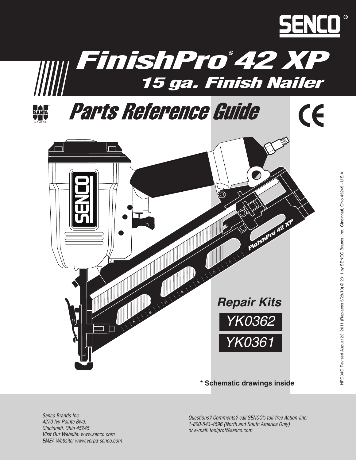



### **\* Schematic drawings inside**

*Questions? Comments? call SENCO's toll-free Action-line: 1-800-543-4596 (North and South America Only) or e-mail: toolprof@senco.com*

*Senco Brands Inc. 4270 Ivy Pointe Blvd. Cincinnati, Ohio 45245 Visit Our Website: www.senco.com EMEA Website: www.verpa-senco.com*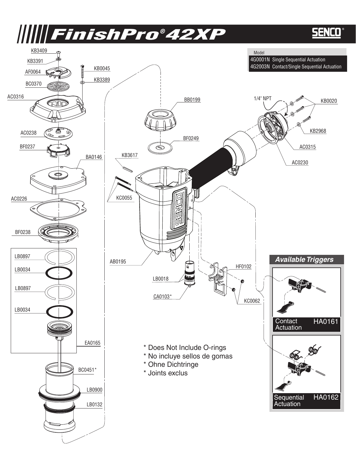# FinishPro ® 42XP FinishPro ®

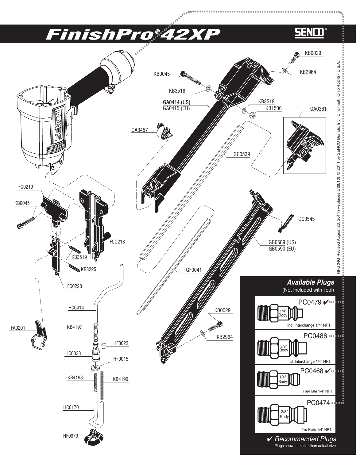